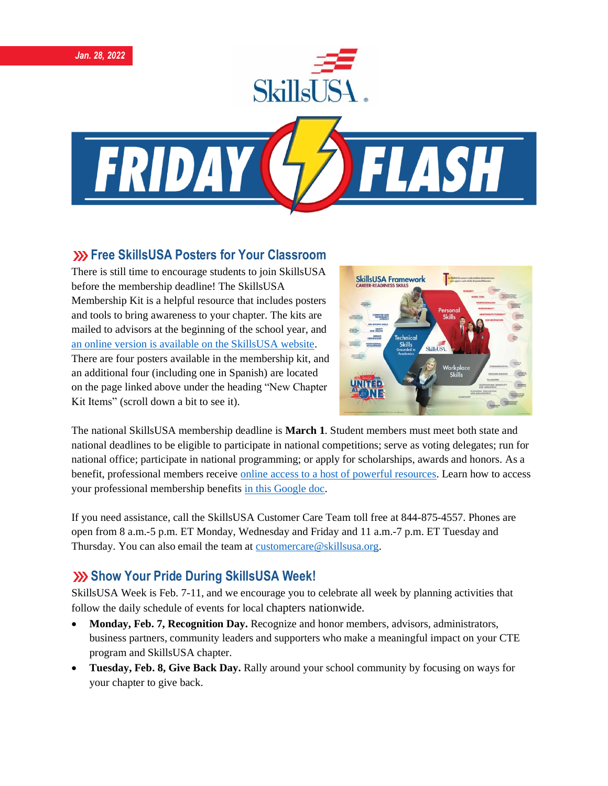

#### **XX Free SkillsUSA Posters for Your Classroom**

There is still time to encourage students to join SkillsUSA before the membership deadline! The SkillsUSA Membership Kit is a helpful resource that includes posters and tools to bring awareness to your chapter. The kits are mailed to advisors at the beginning of the school year, and [an online version is available on the SkillsUSA website.](https://www.skillsusa.org/membership-resources/membership-kit/) There are four posters available in the membership kit, and an additional four (including one in Spanish) are located on the page linked above under the heading "New Chapter Kit Items" (scroll down a bit to see it).



The national SkillsUSA membership deadline is **March 1**. Student members must meet both state and national deadlines to be eligible to participate in national competitions; serve as voting delegates; run for national office; participate in national programming; or apply for scholarships, awards and honors. As a benefit, professional members receive [online access to a host of powerful resources.](https://www.skillsusa.org/accordions/benefits-of-membership/) Learn how to access your professional membership benefits [in this Google doc.](https://docs.google.com/document/d/1d2EvwsmdelNzm-WK7pTGSokJTbWZXcFDOODai32SGzk/edit)

If you need assistance, call the SkillsUSA Customer Care Team toll free at 844-875-4557. Phones are open from 8 a.m.-5 p.m. ET Monday, Wednesday and Friday and 11 a.m.-7 p.m. ET Tuesday and Thursday. You can also email the team at [customercare@skillsusa.org.](mailto:customercare@skillsusa.org)

# **Show Your Pride During SkillsUSA Week!**

SkillsUSA Week is Feb. 7-11, and we encourage you to celebrate all week by planning activities that follow the daily schedule of events for local chapters nationwide.

- **Monday, Feb. 7, Recognition Day.** Recognize and honor members, advisors, administrators, business partners, community leaders and supporters who make a meaningful impact on your CTE program and SkillsUSA chapter.
- **Tuesday, Feb. 8, Give Back Day.** Rally around your school community by focusing on ways for your chapter to give back.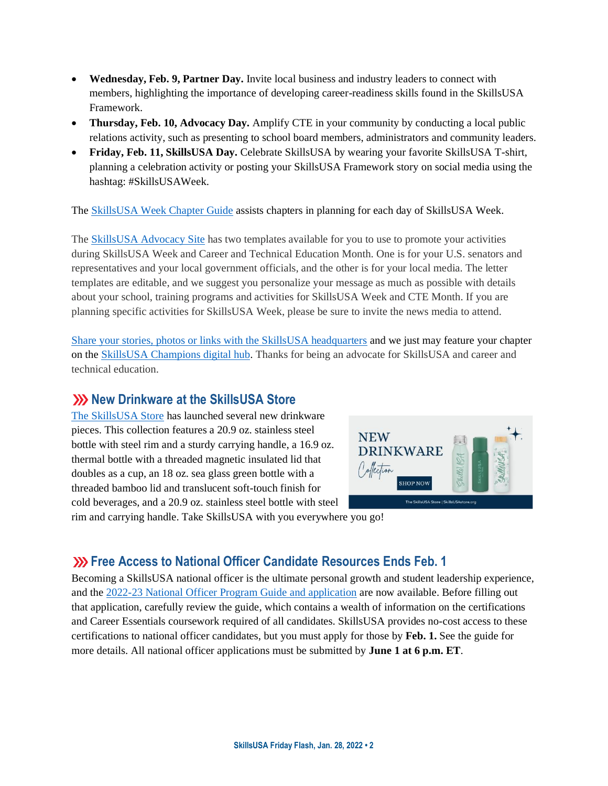- **Wednesday, Feb. 9, Partner Day.** Invite local business and industry leaders to connect with members, highlighting the importance of developing career-readiness skills found in the SkillsUSA Framework.
- **Thursday, Feb. 10, Advocacy Day.** Amplify CTE in your community by conducting a local public relations activity, such as presenting to school board members, administrators and community leaders.
- **Friday, Feb. 11, SkillsUSA Day.** Celebrate SkillsUSA by wearing your favorite SkillsUSA T-shirt, planning a celebration activity or posting your SkillsUSA Framework story on social media using the hashtag: #SkillsUSAWeek.

The [SkillsUSA Week Chapter Guide](https://www.skillsusa.org/events-training/skillsusa-week/) assists chapters in planning for each day of SkillsUSA Week.

The [SkillsUSA Advocacy Site](https://www.congressweb.com/susa/#/) has two templates available for you to use to promote your activities during SkillsUSA Week and Career and Technical Education Month. One is for your U.S. senators and representatives and your local government officials, and the other is for your local media. The letter templates are editable, and we suggest you personalize your message as much as possible with details about your school, training programs and activities for SkillsUSA Week and CTE Month. If you are planning specific activities for SkillsUSA Week, please be sure to invite the news media to attend.

[Share your stories, photos or links with the SkillsUSA headquarters](https://skillsusachampions.org/submit-a-story/) and we just may feature your chapter on the [SkillsUSA Champions digital hub.](http://champions.skillsusa.org/) Thanks for being an advocate for SkillsUSA and career and technical education.

#### **XXX New Drinkware at the SkillsUSA Store**

[The SkillsUSA Store](https://skillsusastore.mybrightsites.com/products?s%5Bf%5D%5Bc%5D%5B%5D=%2FGift+Collection) has launched several new drinkware pieces. This collection features a 20.9 oz. stainless steel bottle with steel rim and a sturdy carrying handle, a 16.9 oz. thermal bottle with a threaded magnetic insulated lid that doubles as a cup, an 18 oz. sea glass green bottle with a threaded bamboo lid and translucent soft-touch finish for cold beverages, and a 20.9 oz. stainless steel bottle with steel



rim and carrying handle. Take SkillsUSA with you everywhere you go!

# **Example 23 Free Access to National Officer Candidate Resources Ends Feb. 1**

Becoming a SkillsUSA national officer is the ultimate personal growth and student leadership experience, and the [2022-23 National Officer Program Guide and application](https://www.skillsusa.org/membership-resources/students/national-officer-election-process/) are now available. Before filling out that application, carefully review the guide, which contains a wealth of information on the certifications and Career Essentials coursework required of all candidates. SkillsUSA provides no-cost access to these certifications to national officer candidates, but you must apply for those by **Feb. 1.** See the guide for more details. All national officer applications must be submitted by **June 1 at 6 p.m. ET**.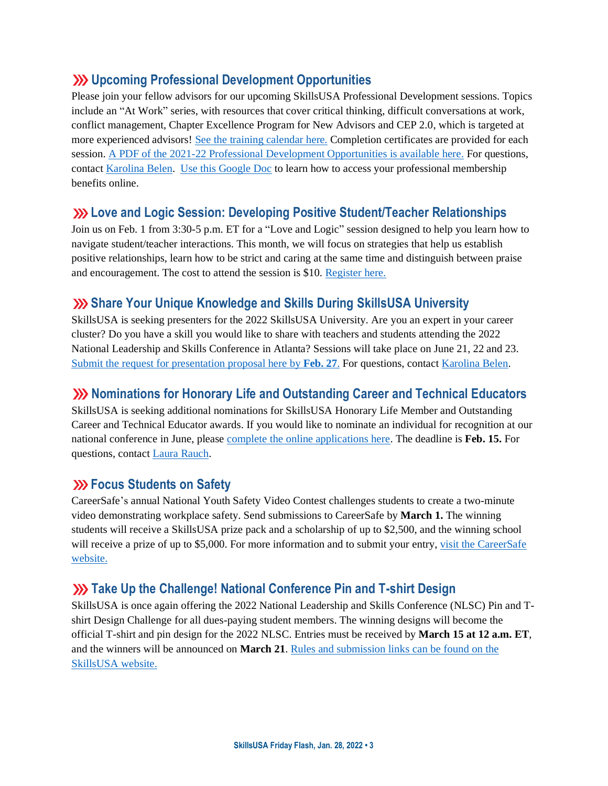## **Upcoming Professional Development Opportunities**

Please join your fellow advisors for our upcoming SkillsUSA Professional Development sessions. Topics include an "At Work" series, with resources that cover critical thinking, difficult conversations at work, conflict management, Chapter Excellence Program for New Advisors and CEP 2.0, which is targeted at more experienced advisors! [See the training calendar here.](https://www.skillsusa.org/events-training/) Completion certificates are provided for each session. A PDF of the 2021-22 Professional [Development Opportunities is available here.](https://www.skillsusa.org/wp-content/uploads/2021/09/SkillsUSA-2021-Professional-Development-Opportunities-v9.pdf) For questions, contact [Karolina Belen.](mailto:kbelen@skillsusa.org) [Use this Google Doc](https://docs.google.com/document/d/1d2EvwsmdelNzm-WK7pTGSokJTbWZXcFDOODai32SGzk/edit) to learn how to access your professional membership benefits online.

#### **Love and Logic Session: Developing Positive Student/Teacher Relationships**

Join us on Feb. 1 from 3:30-5 p.m. ET for a "Love and Logic" session designed to help you learn how to navigate student/teacher interactions. This month, we will focus on strategies that help us establish positive relationships, learn how to be strict and caring at the same time and distinguish between praise and encouragement. The cost to attend the session is \$10. [Register here.](https://skillsusa.wufoo.com/forms/love-and-logic-and-technical-fridays-registration)

## **Share Your Unique Knowledge and Skills During SkillsUSA University**

SkillsUSA is seeking presenters for the 2022 SkillsUSA University. Are you an expert in your career cluster? Do you have a skill you would like to share with teachers and students attending the 2022 National Leadership and Skills Conference in Atlanta? Sessions will take place on June 21, 22 and 23. [Submit the request for presentation proposal here by](https://docs.google.com/forms/d/e/1FAIpQLSdAZNVdpwIoexVeA84Wenhjh0g0_3Km2r7RtNXo6B02Btl1DQ/viewform) **Feb. 27**. For questions, contac[t Karolina Belen.](mailto:kbelen@skillsusa.org)

### **XX** Nominations for Honorary Life and Outstanding Career and Technical Educators

SkillsUSA is seeking additional nominations for SkillsUSA Honorary Life Member and Outstanding Career and Technical Educator awards. If you would like to nominate an individual for recognition at our national conference in June, please [complete the online applications here.](https://www.skillsusa.org/membership-resources/awards/) The deadline is **Feb. 15.** For questions, contac[t Laura Rauch.](mailto:lrauch@skillsusa.org)

### **EXECUS** Students on Safety

CareerSafe's annual National Youth Safety Video Contest challenges students to create a two-minute video demonstrating workplace safety. Send submissions to CareerSafe by **March 1.** The winning students will receive a SkillsUSA prize pack and a scholarship of up to \$2,500, and the winning school will receive a prize of up to \$5,000. For more information and to submit your entry, visit the CareerSafe [website.](https://www.careersafeonline.com/scholarships/video-contest)

### **XX** Take Up the Challenge! National Conference Pin and T-shirt Design

SkillsUSA is once again offering the 2022 National Leadership and Skills Conference (NLSC) Pin and Tshirt Design Challenge for all dues-paying student members. The winning designs will become the official T-shirt and pin design for the 2022 NLSC. Entries must be received by **March 15 at 12 a.m. ET**, and the winners will be announced on **March 21**[. Rules and submission links can be found on the](https://www.skillsusa.org/competitions/pin-design-challenge/)  [SkillsUSA website.](https://www.skillsusa.org/competitions/pin-design-challenge/)